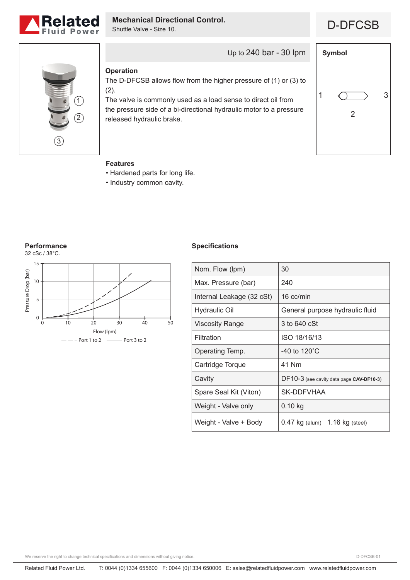

# **Mechanical Directional Control.**<br> **D-DFCSB**

Shuttle Valve - Size 10.





Up to 240 bar - 30 lpm

### **Operation**

The D-DFCSB allows flow from the higher pressure of (1) or (3) to (2).

The valve is commonly used as a load sense to direct oil from the pressure side of a bi-directional hydraulic motor to a pressure released hydraulic brake.



## **Features**

- Hardened parts for long life.
- Industry common cavity.

#### **Performance**



#### **Specifications**

| Nom. Flow (lpm)           | 30                                       |
|---------------------------|------------------------------------------|
| Max. Pressure (bar)       | 240                                      |
| Internal Leakage (32 cSt) | 16 cc/min                                |
| <b>Hydraulic Oil</b>      | General purpose hydraulic fluid          |
| <b>Viscosity Range</b>    | 3 to 640 cSt                             |
| Filtration                | ISO 18/16/13                             |
| Operating Temp.           | -40 to 120 $^{\circ}$ C                  |
| Cartridge Torque          | 41 Nm                                    |
| Cavity                    | DF10-3 (see cavity data page CAV-DF10-3) |
| Spare Seal Kit (Viton)    | SK-DDFVHAA                               |
| Weight - Valve only       | $0.10$ kg                                |
| Weight - Valve + Body     | 0.47 kg (alum) 1.16 kg (steel)           |